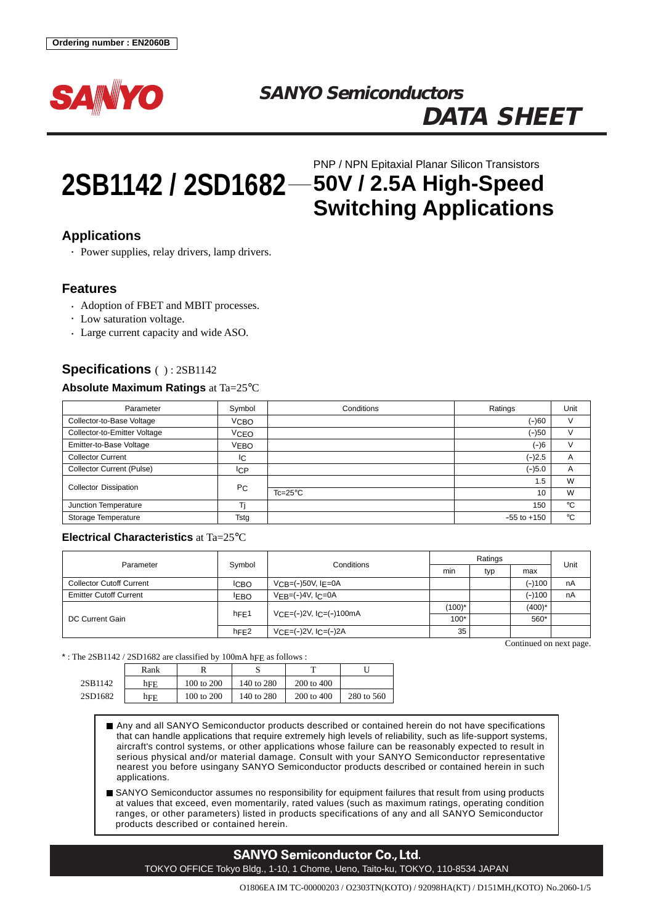

# **SANYO Semiconductors DATA SHEET**

# **2SB1142 / 2SD1682 50V / 2.5A High-Speed** PNP / NPN Epitaxial Planar Silicon Transistors **Switching Applications**

# **Applications**

• Power supplies, relay drivers, lamp drivers.

## **Features**

- Adoption of FBET and MBIT processes.
- Low saturation voltage.
- Large current capacity and wide ASO.

## **Specifications** ( ) : 2SB1142

#### **Absolute Maximum Ratings** at Ta=25°C

| Parameter                        | Symbol           | Conditions       | Ratings         | Unit        |
|----------------------------------|------------------|------------------|-----------------|-------------|
| Collector-to-Base Voltage        | V <sub>CBO</sub> |                  | (-)60           | V           |
| Collector-to-Emitter Voltage     | <b>VCEO</b>      |                  | $(-)50$         | v           |
| Emitter-to-Base Voltage          | VEBO             |                  | (–)6            | V           |
| <b>Collector Current</b>         | IС               |                  | $(-)2.5$        | A           |
| <b>Collector Current (Pulse)</b> | <b>ICP</b>       |                  | $(-)5.0$        | A           |
| <b>Collector Dissipation</b>     | P <sub>C</sub>   |                  | 1.5             | W           |
|                                  |                  | $Tc=25^{\circ}C$ | 10              | W           |
| Junction Temperature             |                  |                  | 150             | $^{\circ}C$ |
| Storage Temperature              | Tstg             |                  | $-55$ to $+150$ | °C          |

### **Electrical Characteristics** at Ta=25°C

| Parameter                       | Symbol            | Conditions                | Ratings   |     |           | Unit |
|---------------------------------|-------------------|---------------------------|-----------|-----|-----------|------|
|                                 |                   |                           | min       | typ | max       |      |
| <b>Collector Cutoff Current</b> | <b>ICBO</b>       | $VCR = (-)50V$ , $I = 0A$ |           |     | (–)100    | nA   |
| <b>Emitter Cutoff Current</b>   | <b>IEBO</b>       | $VEB=(-)4V$ , $IC=0A$     |           |     | $(-)100$  | nA   |
| DC Current Gain                 | $h_{\text{FE}}$ 1 | $VCE=(-)2V, IC=(-)100mA$  | $(100)^*$ |     | $(400)^*$ |      |
|                                 |                   |                           | $100*$    |     | 560*      |      |
|                                 | hFE2              | $VCE=(-)2V, IC=(-)2A$     | 35        |     |           |      |

Continued on next page.

#### \* : The 2SB1142 / 2SD1682 are classified by 100mA hFE as follows :

|         | Rank |            |            |            |            |  |
|---------|------|------------|------------|------------|------------|--|
| 2SB1142 | hFE  | 100 to 200 | 140 to 280 | 200 to 400 |            |  |
| 2SD1682 | hFE  | 100 to 200 | 140 to 280 | 200 to 400 | 280 to 560 |  |

Any and all SANYO Semiconductor products described or contained herein do not have specifications that can handle applications that require extremely high levels of reliability, such as life-support systems, aircraft's control systems, or other applications whose failure can be reasonably expected to result in serious physical and/or material damage. Consult with your SANYO Semiconductor representative nearest you before usingany SANYO Semiconductor products described or contained herein in such applications.

SANYO Semiconductor assumes no responsibility for equipment failures that result from using products at values that exceed, even momentarily, rated values (such as maximum ratings, operating condition ranges, or other parameters) listed in products specifications of any and all SANYO Semiconductor products described or contained herein.

# **SANYO Semiconductor Co., Ltd.** TOKYO OFFICE Tokyo Bldg., 1-10, 1 Chome, Ueno, Taito-ku, TOKYO, 110-8534 JAPAN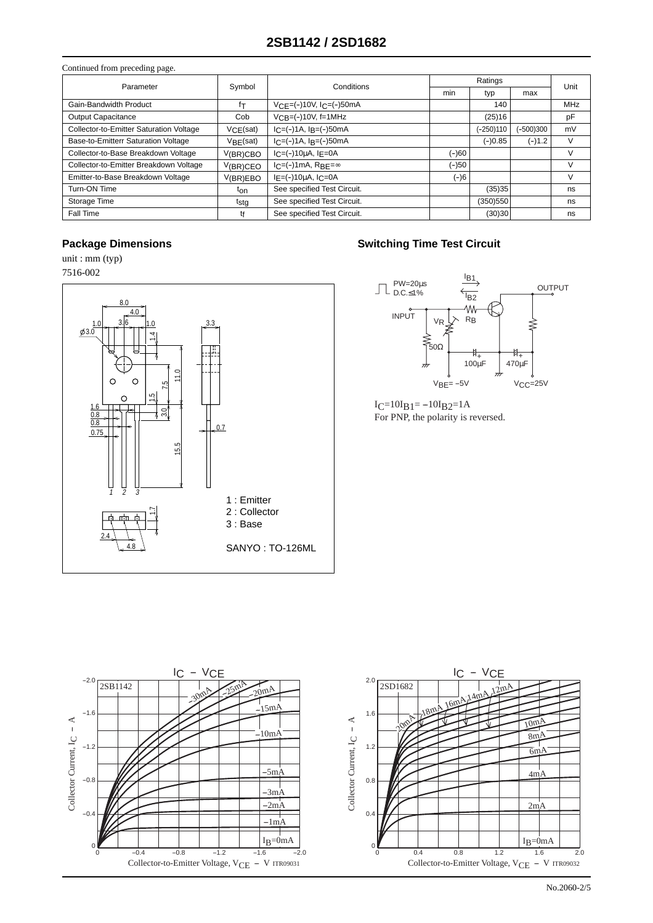| Continued from preceding page.          |             |                              |         |           |           |        |  |
|-----------------------------------------|-------------|------------------------------|---------|-----------|-----------|--------|--|
| Parameter                               | Symbol      | Conditions                   | Ratings |           |           | Unit   |  |
|                                         |             |                              | min     | typ       | max       |        |  |
| Gain-Bandwidth Product                  | fτ          | $VCE=(-10V, IC=(-)50mA)$     |         | 140       |           | MHz    |  |
| Output Capacitance                      | Cob         | $VCR = (-110V, f=1MHz)$      |         | (25)16    |           | pF     |  |
| Collector-to-Emitter Saturation Voltage | VCE(sat)    | $IC = (-14, IB = (-150mA))$  |         | (-250)110 | (-500)300 | mV     |  |
| Base-to-Emitterr Saturation Voltage     | VBE(sat)    | $IC = (-14, IB = (-150mA))$  |         | $(-)0.85$ | $(-)1.2$  | v      |  |
| Collector-to-Base Breakdown Voltage     | $V(BR)$ CBO | $I_C = (-10\mu A, I_E = 0A)$ | $(-)60$ |           |           |        |  |
| Collector-to-Emitter Breakdown Voltage  | V(BR)CEO    | $IC=(-)1mA$ , RBF= $\infty$  | $(-)50$ |           |           | $\vee$ |  |
| Emitter-to-Base Breakdown Voltage       | V(BR)EBO    | $I_F = (-10 \mu A, I_C = 0A$ | $(-)6$  |           |           | $\vee$ |  |
| Turn-ON Time                            | ton         | See specified Test Circuit.  |         | (35)35    |           | ns     |  |
| Storage Time                            | tstg        | See specified Test Circuit.  |         | (350)550  |           | ns     |  |
| Fall Time                               | tŧ          | See specified Test Circuit.  |         | (30)30    |           | ns     |  |

unit : mm (typ)



# **Package Dimensions Constraining Time Test Circuit**



 $I_C=10I_B1=-10I_B2=1A$ For PNP, the polarity is reversed.

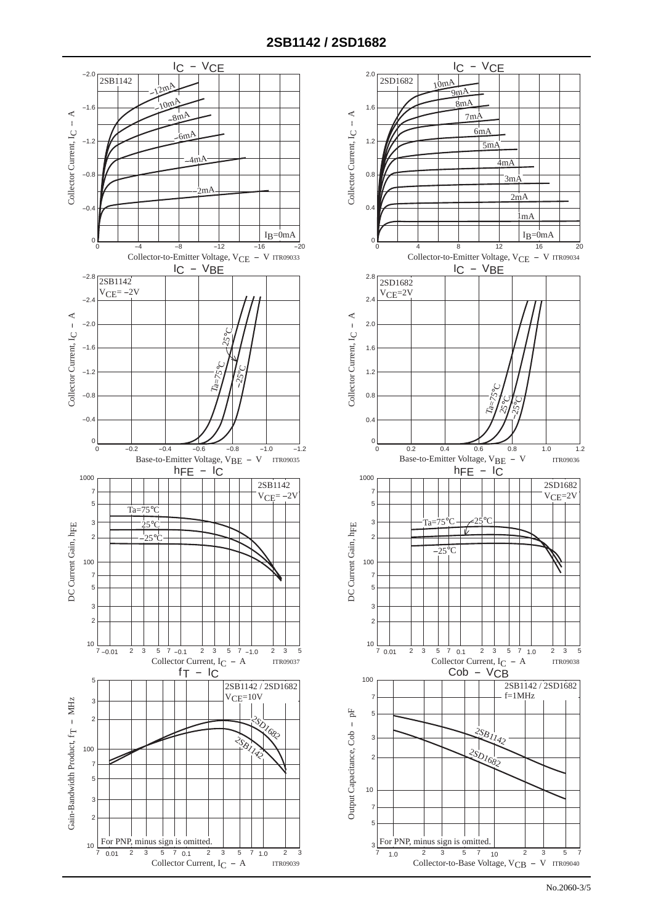

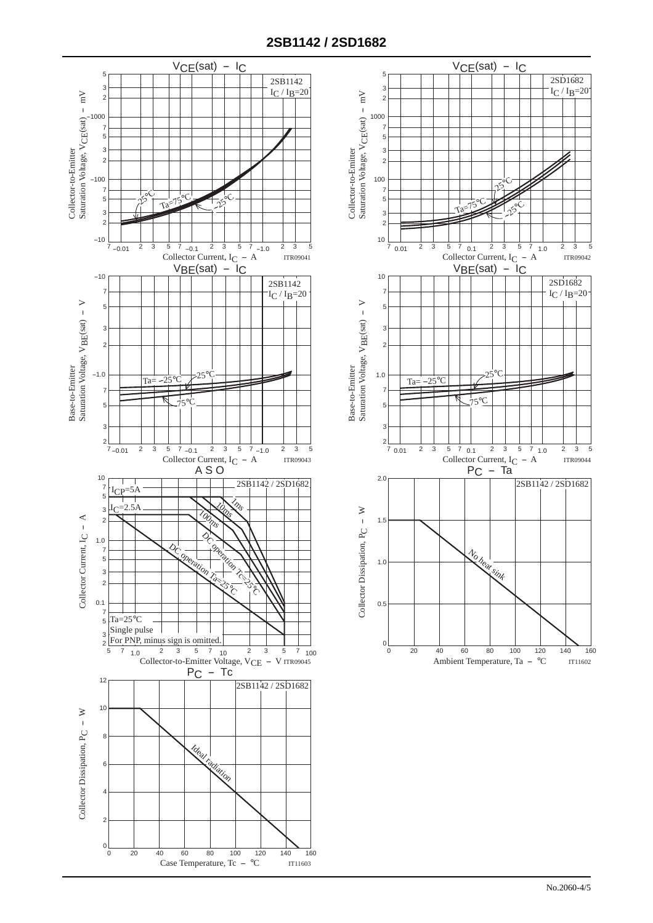